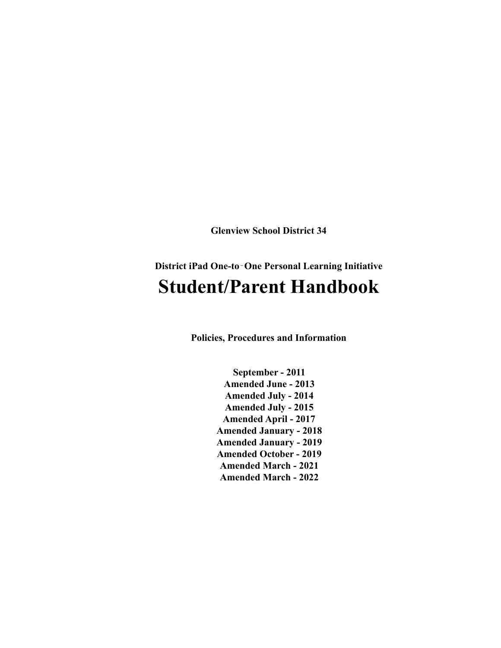**Glenview School District 34**

# **District iPad One-to**‐**One Personal Learning Initiative Student/Parent Handbook**

**Policies, Procedures and Information**

**September - 2011 Amended June - 2013 Amended July - 2014 Amended July - 2015 Amended April - 2017 Amended January - 2018 Amended January - 2019 Amended October - 2019 Amended March - 2021 Amended March - 2022**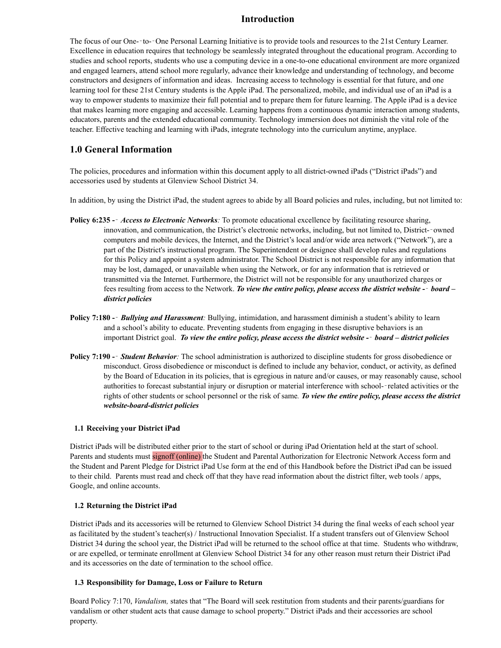### **Introduction**

The focus of our One--to--One Personal Learning Initiative is to provide tools and resources to the 21st Century Learner. Excellence in education requires that technology be seamlessly integrated throughout the educational program. According to studies and school reports, students who use a computing device in a one-to-one educational environment are more organized and engaged learners, attend school more regularly, advance their knowledge and understanding of technology, and become constructors and designers of information and ideas. Increasing access to technology is essential for that future, and one learning tool for these 21st Century students is the Apple iPad. The personalized, mobile, and individual use of an iPad is a way to empower students to maximize their full potential and to prepare them for future learning. The Apple iPad is a device that makes learning more engaging and accessible. Learning happens from a continuous dynamic interaction among students, educators, parents and the extended educational community. Technology immersion does not diminish the vital role of the teacher. Effective teaching and learning with iPads, integrate technology into the curriculum anytime, anyplace.

### **1.0 General Information**

The policies, procedures and information within this document apply to all district-owned iPads ("District iPads") and accessories used by students at Glenview School District 34.

In addition, by using the District iPad, the student agrees to abide by all Board policies and rules, including, but not limited to:

- **Policy 6:235 -**‐ *Access to Electronic Networks:* To promote educational excellence by facilitating resource sharing, innovation, and communication, the District's electronic networks, including, but not limited to, District-owned computers and mobile devices, the Internet, and the District's local and/or wide area network ("Network"), are a part of the District's instructional program. The Superintendent or designee shall develop rules and regulations for this Policy and appoint a system administrator. The School District is not responsible for any information that may be lost, damaged, or unavailable when using the Network, or for any information that is retrieved or transmitted via the Internet. Furthermore, the District will not be responsible for any unauthorized charges or fees resulting from access to the Network. *To view the entire policy, please access the district website -*‐ *board – district policies*
- **Policy 7:180 -**‐ *Bullying and Harassment:* Bullying, intimidation, and harassment diminish a student's ability to learn and a school's ability to educate. Preventing students from engaging in these disruptive behaviors is an important District goal. *To view the entire policy, please access the district website -*‐ *board – district policies*
- **Policy 7:190 -**‐ *Student Behavior:* The school administration is authorized to discipline students for gross disobedience or misconduct. Gross disobedience or misconduct is defined to include any behavior, conduct, or activity, as defined by the Board of Education in its policies, that is egregious in nature and/or causes, or may reasonably cause, school authorities to forecast substantial injury or disruption or material interference with school-‐related activities or the rights of other students or school personnel or the risk of same*. To view the entire policy, please access the district website-board-district policies*

### **1.1 Receiving your District iPad**

District iPads will be distributed either prior to the start of school or during iPad Orientation held at the start of school. Parents and students must signoff (online) the Student and Parental Authorization for Electronic Network Access form and the Student and Parent Pledge for District iPad Use form at the end of this Handbook before the District iPad can be issued to their child. Parents must read and check off that they have read information about the district filter, web tools / apps, Google, and online accounts.

### **1.2 Returning the District iPad**

District iPads and its accessories will be returned to Glenview School District 34 during the final weeks of each school year as facilitated by the student's teacher(s) / Instructional Innovation Specialist. If a student transfers out of Glenview School District 34 during the school year, the District iPad will be returned to the school office at that time. Students who withdraw, or are expelled, or terminate enrollment at Glenview School District 34 for any other reason must return their District iPad and its accessories on the date of termination to the school office.

### **1.3 Responsibility for Damage, Loss or Failure to Return**

Board Policy 7:170, *Vandalism,* states that "The Board will seek restitution from students and their parents/guardians for vandalism or other student acts that cause damage to school property." District iPads and their accessories are school property.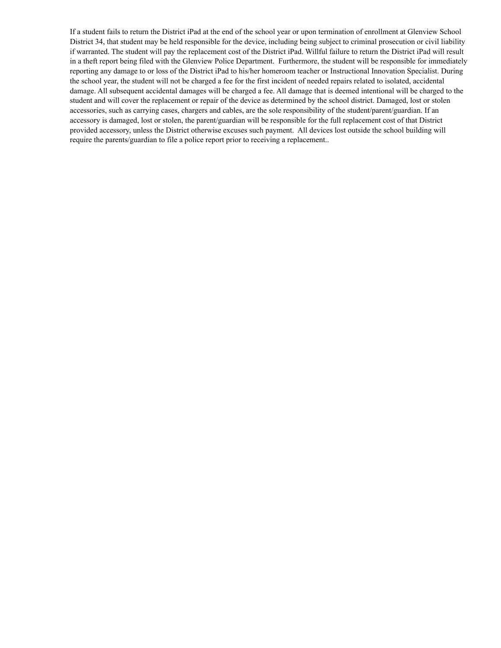If a student fails to return the District iPad at the end of the school year or upon termination of enrollment at Glenview School District 34, that student may be held responsible for the device, including being subject to criminal prosecution or civil liability if warranted. The student will pay the replacement cost of the District iPad. Willful failure to return the District iPad will result in a theft report being filed with the Glenview Police Department. Furthermore, the student will be responsible for immediately reporting any damage to or loss of the District iPad to his/her homeroom teacher or Instructional Innovation Specialist. During the school year, the student will not be charged a fee for the first incident of needed repairs related to isolated, accidental damage. All subsequent accidental damages will be charged a fee. All damage that is deemed intentional will be charged to the student and will cover the replacement or repair of the device as determined by the school district. Damaged, lost or stolen accessories, such as carrying cases, chargers and cables, are the sole responsibility of the student/parent/guardian. If an accessory is damaged, lost or stolen, the parent/guardian will be responsible for the full replacement cost of that District provided accessory, unless the District otherwise excuses such payment. All devices lost outside the school building will require the parents/guardian to file a police report prior to receiving a replacement..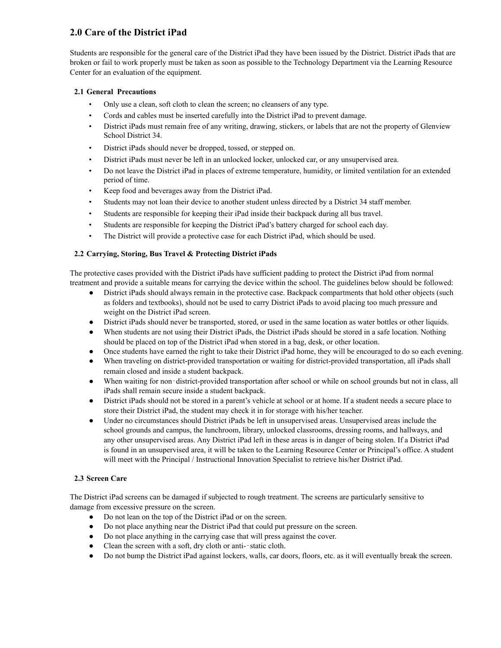# **2.0 Care of the District iPad**

Students are responsible for the general care of the District iPad they have been issued by the District. District iPads that are broken or fail to work properly must be taken as soon as possible to the Technology Department via the Learning Resource Center for an evaluation of the equipment.

### **2.1 General Precautions**

- Only use a clean, soft cloth to clean the screen; no cleansers of any type.
- Cords and cables must be inserted carefully into the District iPad to prevent damage.
- District iPads must remain free of any writing, drawing, stickers, or labels that are not the property of Glenview School District 34.
- District iPads should never be dropped, tossed, or stepped on.
- District iPads must never be left in an unlocked locker, unlocked car, or any unsupervised area.
- Do not leave the District iPad in places of extreme temperature, humidity, or limited ventilation for an extended period of time.
- Keep food and beverages away from the District iPad.
- Students may not loan their device to another student unless directed by a District 34 staff member.
- Students are responsible for keeping their iPad inside their backpack during all bus travel.
- Students are responsible for keeping the District iPad's battery charged for school each day.
- The District will provide a protective case for each District iPad, which should be used.

### **2.2 Carrying, Storing, Bus Travel & Protecting District iPads**

The protective cases provided with the District iPads have sufficient padding to protect the District iPad from normal treatment and provide a suitable means for carrying the device within the school. The guidelines below should be followed:

- District iPads should always remain in the protective case. Backpack compartments that hold other objects (such as folders and textbooks), should not be used to carry District iPads to avoid placing too much pressure and weight on the District iPad screen.
- District iPads should never be transported, stored, or used in the same location as water bottles or other liquids.
- When students are not using their District iPads, the District iPads should be stored in a safe location. Nothing should be placed on top of the District iPad when stored in a bag, desk, or other location.
- Once students have earned the right to take their District iPad home, they will be encouraged to do so each evening.
- When traveling on district-provided transportation or waiting for district-provided transportation, all iPads shall remain closed and inside a student backpack.
- When waiting for non-district-provided transportation after school or while on school grounds but not in class, all iPads shall remain secure inside a student backpack.
- District iPads should not be stored in a parent's vehicle at school or at home. If a student needs a secure place to store their District iPad, the student may check it in for storage with his/her teacher.
- Under no circumstances should District iPads be left in unsupervised areas. Unsupervised areas include the school grounds and campus, the lunchroom, library, unlocked classrooms, dressing rooms, and hallways, and any other unsupervised areas. Any District iPad left in these areas is in danger of being stolen. If a District iPad is found in an unsupervised area, it will be taken to the Learning Resource Center or Principal's office. A student will meet with the Principal / Instructional Innovation Specialist to retrieve his/her District iPad.

### **2.3 Screen Care**

The District iPad screens can be damaged if subjected to rough treatment. The screens are particularly sensitive to damage from excessive pressure on the screen.

- Do not lean on the top of the District iPad or on the screen.
- Do not place anything near the District iPad that could put pressure on the screen.
- Do not place anything in the carrying case that will press against the cover.
- Clean the screen with a soft, dry cloth or anti--static cloth.
- Do not bump the District iPad against lockers, walls, car doors, floors, etc. as it will eventually break the screen.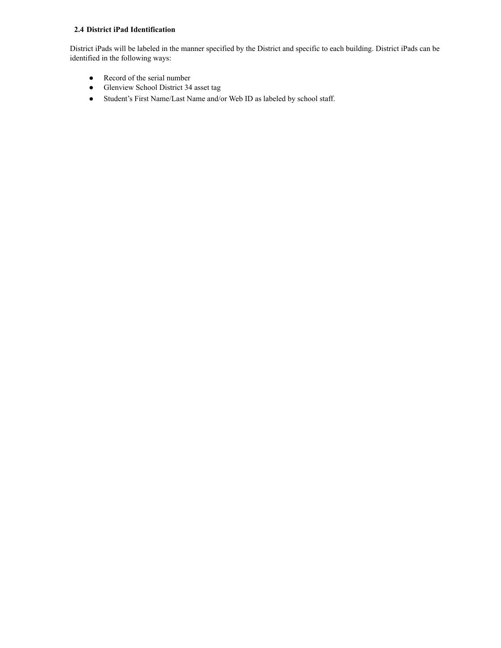### **2.4 District iPad Identification**

District iPads will be labeled in the manner specified by the District and specific to each building. District iPads can be identified in the following ways:

- Record of the serial number
- Glenview School District 34 asset tag
- Student's First Name/Last Name and/or Web ID as labeled by school staff.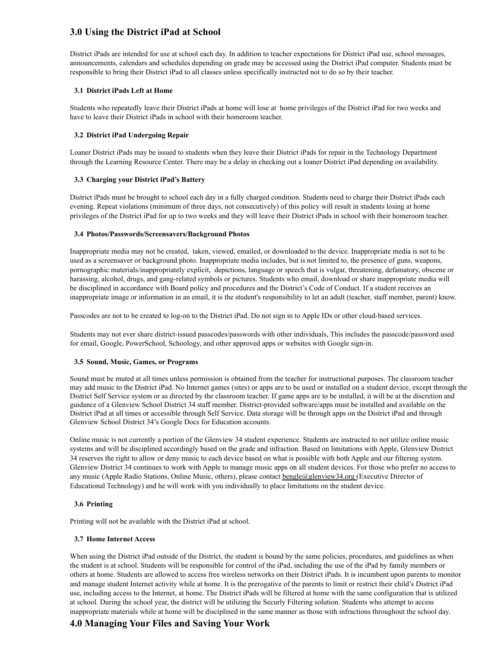## **3.0 Using the District iPad at School**

District iPads are intended for use at school each day. In addition to teacher expectations for District iPad use, school messages, announcements, calendars and schedules depending on grade may be accessed using the District iPad computer. Students must be responsible to bring their District iPad to all classes unless specifically instructed not to do so by their teacher.

### **3.1 District iPads Left at Home**

Students who repeatedly leave their District iPads at home will lose at‐home privileges of the District iPad for two weeks and have to leave their District iPads in school with their homeroom teacher.

### **3.2 District iPad Undergoing Repair**

Loaner District iPads may be issued to students when they leave their District iPads for repair in the Technology Department through the Learning Resource Center. There may be a delay in checking out a loaner District iPad depending on availability.

### **3.3 Charging your District iPad's Battery**

District iPads must be brought to school each day in a fully charged condition. Students need to charge their District iPads each evening. Repeat violations (minimum of three days, not consecutively) of this policy will result in students losing at home privileges of the District iPad for up to two weeks and they will leave their District iPads in school with their homeroom teacher.

### **3.4 Photos/Passwords/Screensavers/Background Photos**

Inappropriate media may not be created, taken, viewed, emailed, or downloaded to the device. Inappropriate media is not to be used as a screensaver or background photo. Inappropriate media includes, but is not limited to, the presence of guns, weapons, pornographic materials/inappropriately explicit, depictions, language or speech that is vulgar, threatening, defamatory, obscene or harassing, alcohol, drugs, and gang-related symbols or pictures. Students who email, download or share inappropriate media will be disciplined in accordance with Board policy and procedures and the District's Code of Conduct. If a student receives an inappropriate image or information in an email, it is the student's responsibility to let an adult (teacher, staff member, parent) know.

Passcodes are not to be created to log-on to the District iPad. Do not sign in to Apple IDs or other cloud-based services.

Students may not ever share district-issued passcodes/passwords with other individuals, This includes the passcode/password used for email, Google, PowerSchool, Schoology, and other approved apps or websites with Google sign-in.

#### **3.5 Sound, Music, Games, or Programs**

Sound must be muted at all times unless permission is obtained from the teacher for instructional purposes. The classroom teacher may add music to the District iPad. No Internet games (sites) or apps are to be used or installed on a student device, except through the District Self Service system or as directed by the classroom teacher. If game apps are to be installed, it will be at the discretion and guidance of a Glenview School District 34 staff member. District-provided software/apps must be installed and available on the District iPad at all times or accessible through Self Service. Data storage will be through apps on the District iPad and through Glenview School District 34's Google Docs for Education accounts.

Online music is not currently a portion of the Glenview 34 student experience. Students are instructed to not utilize online music systems and will be disciplined accordingly based on the grade and infraction. Based on limitations with Apple, Glenview District 34 reserves the right to allow or deny music to each device based on what is possible with both Apple and our filtering system. Glenview District 34 continues to work with Apple to manage music apps on all student devices. For those who prefer no access to any music (Apple Radio Stations, Online Music, others), please contact **[bengle@glenview34.org](mailto:bengle@glenview34.org)** (Executive Director of Educational Technology) and he will work with you individually to place limitations on the student device.

#### **3.6 Printing**

Printing will not be available with the District iPad at school.

### **3.7 Home Internet Access**

When using the District iPad outside of the District, the student is bound by the same policies, procedures, and guidelines as when the student is at school. Students will be responsible for control of the iPad, including the use of the iPad by family members or others at home. Students are allowed to access free wireless networks on their District iPads. It is incumbent upon parents to monitor and manage student Internet activity while at home. It is the prerogative of the parents to limit or restrict their child's District iPad use, including access to the Internet, at home. The District iPads will be filtered at home with the same configuration that is utilized at school. During the school year, the district will be utilizing the Securly Filtering solution. Students who attempt to access inappropriate materials while at home will be disciplined in the same manner as those with infractions throughout the school day.

# **4.0 Managing Your Files and Saving Your Work**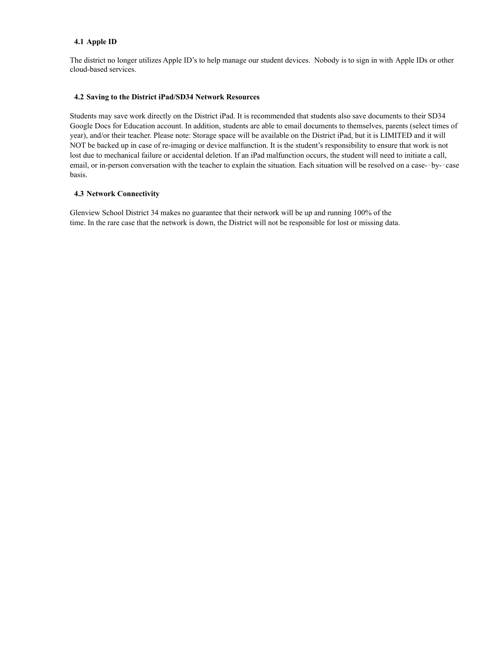### **4.1 Apple ID**

The district no longer utilizes Apple ID's to help manage our student devices. Nobody is to sign in with Apple IDs or other cloud-based services.

### **4.2 Saving to the District iPad/SD34 Network Resources**

Students may save work directly on the District iPad. It is recommended that students also save documents to their SD34 Google Docs for Education account. In addition, students are able to email documents to themselves, parents (select times of year), and/or their teacher. Please note: Storage space will be available on the District iPad, but it is LIMITED and it will NOT be backed up in case of re-imaging or device malfunction. It is the student's responsibility to ensure that work is not lost due to mechanical failure or accidental deletion. If an iPad malfunction occurs, the student will need to initiate a call, email, or in-person conversation with the teacher to explain the situation. Each situation will be resolved on a case--by--case basis.

### **4.3 Network Connectivity**

Glenview School District 34 makes no guarantee that their network will be up and running 100% of the time. In the rare case that the network is down, the District will not be responsible for lost or missing data.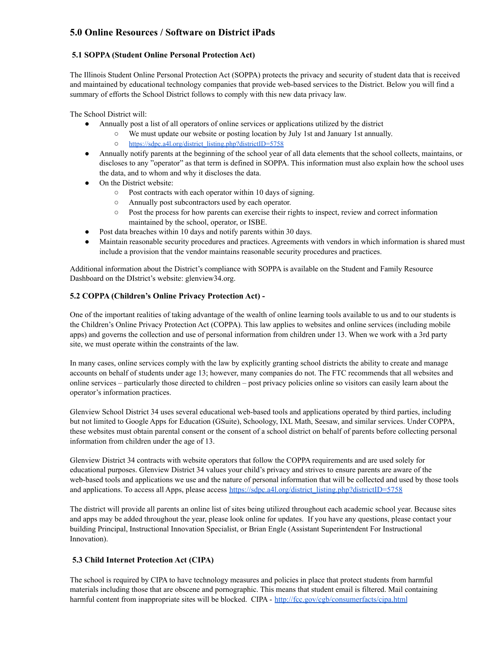# **5.0 Online Resources / Software on District iPads**

### **5.1 SOPPA (Student Online Personal Protection Act)**

The Illinois Student Online Personal Protection Act (SOPPA) protects the privacy and security of student data that is received and maintained by educational technology companies that provide web-based services to the District. Below you will find a summary of efforts the School District follows to comply with this new data privacy law.

The School District will:

- Annually post a list of all operators of online services or applications utilized by the district
	- We must update our website or posting location by July 1st and January 1st annually.
		- [https://sdpc.a4l.org/district\\_listing.php?districtID=5758](https://sdpc.a4l.org/district_listing.php?districtID=5758)
- Annually notify parents at the beginning of the school year of all data elements that the school collects, maintains, or discloses to any "operator" as that term is defined in SOPPA. This information must also explain how the school uses the data, and to whom and why it discloses the data.
- On the District website:
	- Post contracts with each operator within 10 days of signing.
	- Annually post subcontractors used by each operator.
	- Post the process for how parents can exercise their rights to inspect, review and correct information maintained by the school, operator, or ISBE.
- Post data breaches within 10 days and notify parents within 30 days.
- Maintain reasonable security procedures and practices. Agreements with vendors in which information is shared must include a provision that the vendor maintains reasonable security procedures and practices.

Additional information about the District's compliance with SOPPA is available on the Student and Family Resource Dashboard on the DIstrict's website: glenview34.org.

### **5.2 COPPA (Children's Online Privacy Protection Act) -**

One of the important realities of taking advantage of the wealth of online learning tools available to us and to our students is the Children's Online Privacy Protection Act (COPPA). This law applies to websites and online services (including mobile apps) and governs the collection and use of personal information from children under 13. When we work with a 3rd party site, we must operate within the constraints of the law.

In many cases, online services comply with the law by explicitly granting school districts the ability to create and manage accounts on behalf of students under age 13; however, many companies do not. The FTC recommends that all websites and online services – particularly those directed to children – post privacy policies online so visitors can easily learn about the operator's information practices.

Glenview School District 34 uses several educational web-based tools and applications operated by third parties, including but not limited to Google Apps for Education (GSuite), Schoology, IXL Math, Seesaw, and similar services. Under COPPA, these websites must obtain parental consent or the consent of a school district on behalf of parents before collecting personal information from children under the age of 13.

Glenview District 34 contracts with website operators that follow the COPPA requirements and are used solely for educational purposes. Glenview District 34 values your child's privacy and strives to ensure parents are aware of the web-based tools and applications we use and the nature of personal information that will be collected and used by those tools and applications. To access all Apps, please access [https://sdpc.a4l.org/district\\_listing.php?districtID=5758](https://sdpc.a4l.org/district_listing.php?districtID=5758)

The district will provide all parents an online list of sites being utilized throughout each academic school year. Because sites and apps may be added throughout the year, please look online for updates. If you have any questions, please contact your building Principal, Instructional Innovation Specialist, or Brian Engle (Assistant Superintendent For Instructional Innovation).

### **5.3 Child Internet Protection Act (CIPA)**

The school is required by CIPA to have technology measures and policies in place that protect students from harmful materials including those that are obscene and pornographic. This means that student email is filtered. Mail containing harmful content from inappropriate sites will be blocked. CIPA - <http://fcc.gov/cgb/consumerfacts/cipa.html>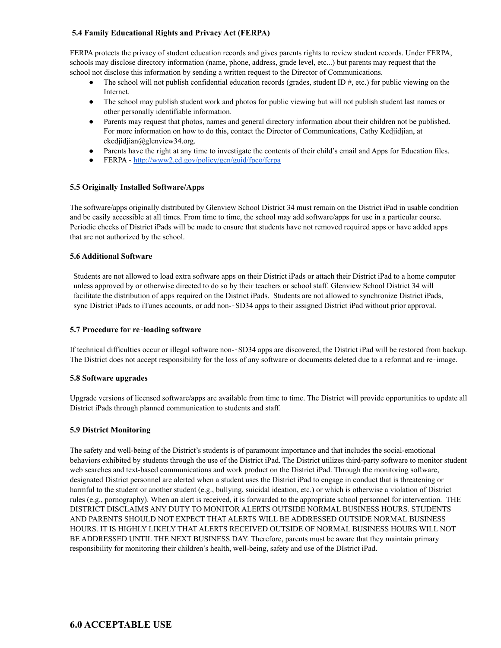### **5.4 Family Educational Rights and Privacy Act (FERPA)**

FERPA protects the privacy of student education records and gives parents rights to review student records. Under FERPA, schools may disclose directory information (name, phone, address, grade level, etc...) but parents may request that the school not disclose this information by sending a written request to the Director of Communications.

- $\bullet$  The school will not publish confidential education records (grades, student ID #, etc.) for public viewing on the Internet.
- The school may publish student work and photos for public viewing but will not publish student last names or other personally identifiable information.
- Parents may request that photos, names and general directory information about their children not be published. For more information on how to do this, contact the Director of Communications, Cathy Kedjidjian, at ckedjidjian@glenview34.org.
- Parents have the right at any time to investigate the contents of their child's email and Apps for Education files.
- FERPA <http://www2.ed.gov/policy/gen/guid/fpco/ferpa>

### **5.5 Originally Installed Software/Apps**

The software/apps originally distributed by Glenview School District 34 must remain on the District iPad in usable condition and be easily accessible at all times. From time to time, the school may add software/apps for use in a particular course. Periodic checks of District iPads will be made to ensure that students have not removed required apps or have added apps that are not authorized by the school.

### **5.6 Additional Software**

Students are not allowed to load extra software apps on their District iPads or attach their District iPad to a home computer unless approved by or otherwise directed to do so by their teachers or school staff. Glenview School District 34 will facilitate the distribution of apps required on the District iPads. Students are not allowed to synchronize District iPads, sync District iPads to iTunes accounts, or add non--SD34 apps to their assigned District iPad without prior approval.

### **5.7 Procedure for re**‐**loading software**

If technical difficulties occur or illegal software non-‐SD34 apps are discovered, the District iPad will be restored from backup. The District does not accept responsibility for the loss of any software or documents deleted due to a reformat and re-image.

### **5.8 Software upgrades**

Upgrade versions of licensed software/apps are available from time to time. The District will provide opportunities to update all District iPads through planned communication to students and staff.

### **5.9 District Monitoring**

The safety and well-being of the District's students is of paramount importance and that includes the social-emotional behaviors exhibited by students through the use of the District iPad. The District utilizes third-party software to monitor student web searches and text-based communications and work product on the District iPad. Through the monitoring software, designated District personnel are alerted when a student uses the District iPad to engage in conduct that is threatening or harmful to the student or another student (e.g., bullying, suicidal ideation, etc.) or which is otherwise a violation of District rules (e.g., pornography). When an alert is received, it is forwarded to the appropriate school personnel for intervention. THE DISTRICT DISCLAIMS ANY DUTY TO MONITOR ALERTS OUTSIDE NORMAL BUSINESS HOURS. STUDENTS AND PARENTS SHOULD NOT EXPECT THAT ALERTS WILL BE ADDRESSED OUTSIDE NORMAL BUSINESS HOURS. IT IS HIGHLY LIKELY THAT ALERTS RECEIVED OUTSIDE OF NORMAL BUSINESS HOURS WILL NOT BE ADDRESSED UNTIL THE NEXT BUSINESS DAY. Therefore, parents must be aware that they maintain primary responsibility for monitoring their children's health, well-being, safety and use of the DIstrict iPad.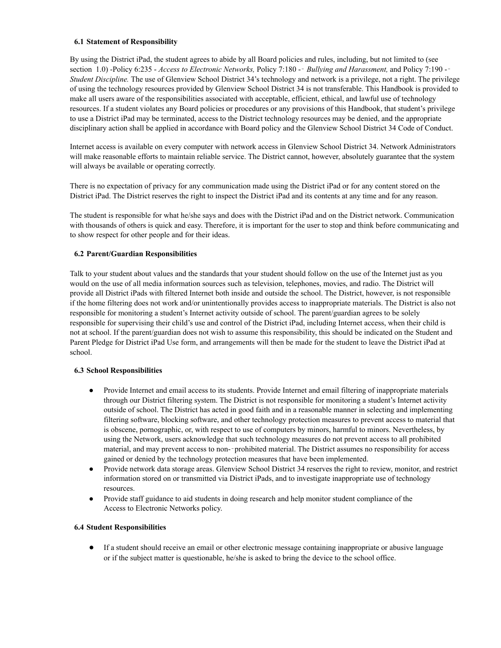#### **6.1 Statement of Responsibility**

By using the District iPad, the student agrees to abide by all Board policies and rules, including, but not limited to (see section 1.0) -Policy 6:235 - *Access to Electronic Networks,* Policy 7:180 -‐ *Bullying and Harassment,* and Policy 7:190 -‐ *Student Discipline.* The use of Glenview School District 34's technology and network is a privilege, not a right. The privilege of using the technology resources provided by Glenview School District 34 is not transferable. This Handbook is provided to make all users aware of the responsibilities associated with acceptable, efficient, ethical, and lawful use of technology resources. If a student violates any Board policies or procedures or any provisions of this Handbook, that student's privilege to use a District iPad may be terminated, access to the District technology resources may be denied, and the appropriate disciplinary action shall be applied in accordance with Board policy and the Glenview School District 34 Code of Conduct.

Internet access is available on every computer with network access in Glenview School District 34. Network Administrators will make reasonable efforts to maintain reliable service. The District cannot, however, absolutely guarantee that the system will always be available or operating correctly.

There is no expectation of privacy for any communication made using the District iPad or for any content stored on the District iPad. The District reserves the right to inspect the District iPad and its contents at any time and for any reason.

The student is responsible for what he/she says and does with the District iPad and on the District network. Communication with thousands of others is quick and easy. Therefore, it is important for the user to stop and think before communicating and to show respect for other people and for their ideas.

### **6.2 Parent/Guardian Responsibilities**

Talk to your student about values and the standards that your student should follow on the use of the Internet just as you would on the use of all media information sources such as television, telephones, movies, and radio. The District will provide all District iPads with filtered Internet both inside and outside the school. The District, however, is not responsible if the home filtering does not work and/or unintentionally provides access to inappropriate materials. The District is also not responsible for monitoring a student's Internet activity outside of school. The parent/guardian agrees to be solely responsible for supervising their child's use and control of the District iPad, including Internet access, when their child is not at school. If the parent/guardian does not wish to assume this responsibility, this should be indicated on the Student and Parent Pledge for District iPad Use form, and arrangements will then be made for the student to leave the District iPad at school.

### **6.3 School Responsibilities**

- Provide Internet and email access to its students. Provide Internet and email filtering of inappropriate materials through our District filtering system. The District is not responsible for monitoring a student's Internet activity outside of school. The District has acted in good faith and in a reasonable manner in selecting and implementing filtering software, blocking software, and other technology protection measures to prevent access to material that is obscene, pornographic, or, with respect to use of computers by minors, harmful to minors. Nevertheless, by using the Network, users acknowledge that such technology measures do not prevent access to all prohibited material, and may prevent access to non-‐prohibited material. The District assumes no responsibility for access gained or denied by the technology protection measures that have been implemented.
- Provide network data storage areas. Glenview School District 34 reserves the right to review, monitor, and restrict information stored on or transmitted via District iPads, and to investigate inappropriate use of technology resources.
- Provide staff guidance to aid students in doing research and help monitor student compliance of the Access to Electronic Networks policy.

### **6.4 Student Responsibilities**

● If a student should receive an email or other electronic message containing inappropriate or abusive language or if the subject matter is questionable, he/she is asked to bring the device to the school office.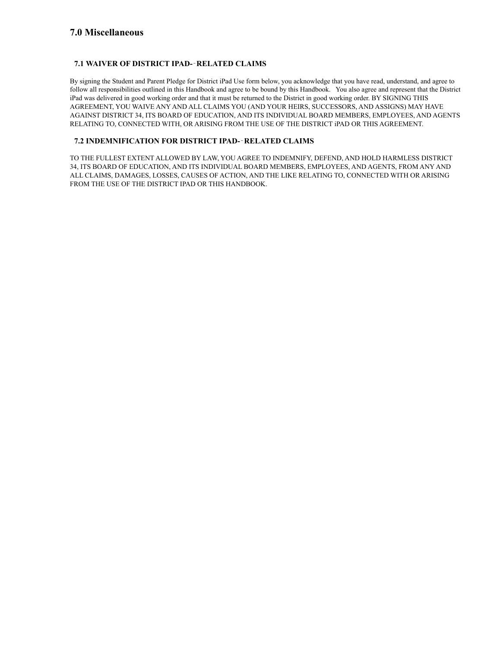### **7.0 Miscellaneous**

### **7.1 WAIVER OF DISTRICT IPAD-**‐**RELATED CLAIMS**

By signing the Student and Parent Pledge for District iPad Use form below, you acknowledge that you have read, understand, and agree to follow all responsibilities outlined in this Handbook and agree to be bound by this Handbook. You also agree and represent that the District iPad was delivered in good working order and that it must be returned to the District in good working order. BY SIGNING THIS AGREEMENT, YOU WAIVE ANY AND ALL CLAIMS YOU (AND YOUR HEIRS, SUCCESSORS, AND ASSIGNS) MAY HAVE AGAINST DISTRICT 34, ITS BOARD OF EDUCATION, AND ITS INDIVIDUAL BOARD MEMBERS, EMPLOYEES, AND AGENTS RELATING TO, CONNECTED WITH, OR ARISING FROM THE USE OF THE DISTRICT iPAD OR THIS AGREEMENT.

### **7.2 INDEMNIFICATION FOR DISTRICT IPAD-**‐**RELATED CLAIMS**

TO THE FULLEST EXTENT ALLOWED BY LAW, YOU AGREE TO INDEMNIFY, DEFEND, AND HOLD HARMLESS DISTRICT 34, ITS BOARD OF EDUCATION, AND ITS INDIVIDUAL BOARD MEMBERS, EMPLOYEES, AND AGENTS, FROM ANY AND ALL CLAIMS, DAMAGES, LOSSES, CAUSES OF ACTION, AND THE LIKE RELATING TO, CONNECTED WITH OR ARISING FROM THE USE OF THE DISTRICT IPAD OR THIS HANDBOOK.